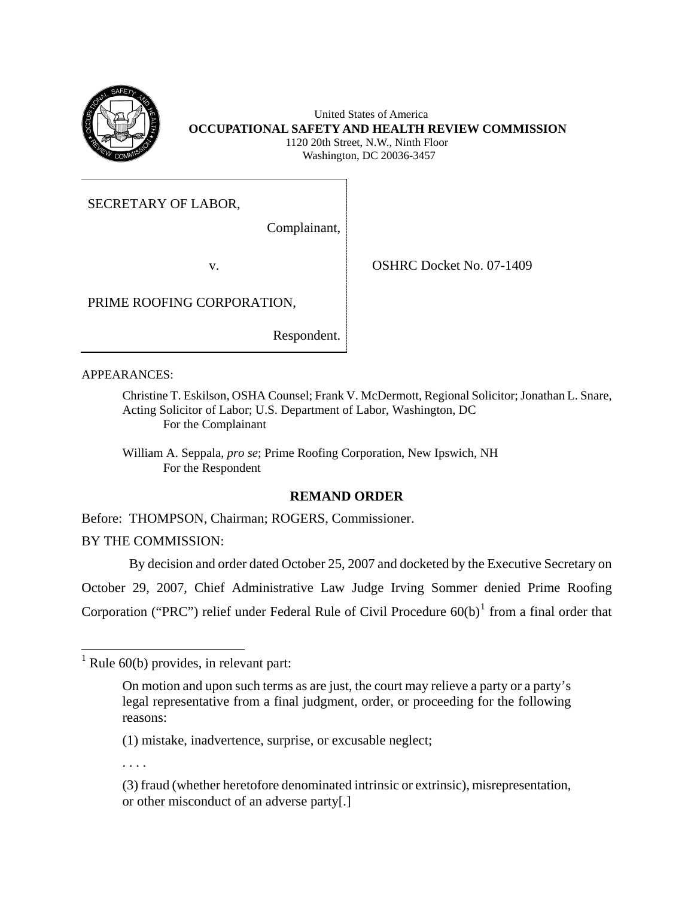

 United States of America **OCCUPATIONAL SAFETY AND HEALTH REVIEW COMMISSION** 1120 20th Street, N.W., Ninth Floor Washington, DC 20036-3457

SECRETARY OF LABOR,

Complainant,

v. COSHRC Docket No. 07-1409

PRIME ROOFING CORPORATION,

Respondent.

APPEARANCES:

Christine T. Eskilson, OSHA Counsel; Frank V. McDermott, Regional Solicitor; Jonathan L. Snare, Acting Solicitor of Labor; U.S. Department of Labor, Washington, DC For the Complainant

William A. Seppala, *pro se*; Prime Roofing Corporation, New Ipswich, NH For the Respondent

# **REMAND ORDER**

Before: THOMPSON, Chairman; ROGERS, Commissioner.

BY THE COMMISSION:

By decision and order dated October 25, 2007 and docketed by the Executive Secretary on

October 29, 2007, Chief Administrative Law Judge Irving Sommer denied Prime Roofing Corporation ("PRC") relief under Federal Rule of Civil Procedure  $60(b)^1$  $60(b)^1$  from a final order that

. . . .

<span id="page-0-0"></span><sup>&</sup>lt;sup>1</sup> Rule 60(b) provides, in relevant part:

On motion and upon such terms as are just, the court may relieve a party or a party's legal representative from a final judgment, order, or proceeding for the following reasons:

<sup>(1)</sup> mistake, inadvertence, surprise, or excusable neglect;

 or other misconduct of an adverse party[.] (3) fraud (whether heretofore denominated intrinsic or extrinsic), misrepresentation,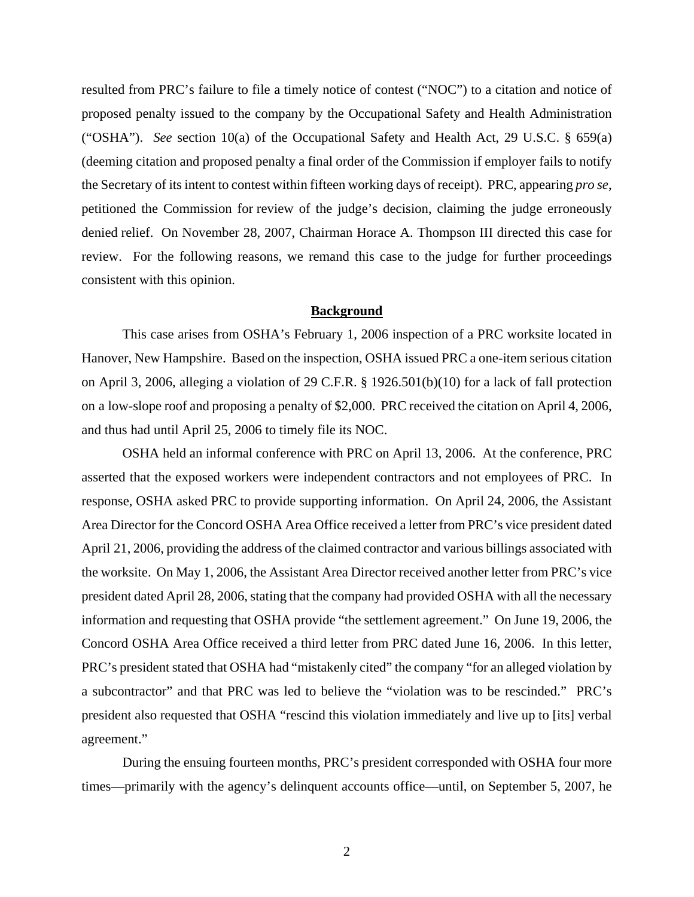resulted from PRC's failure to file a timely notice of contest ("NOC") to a citation and notice of proposed penalty issued to the company by the Occupational Safety and Health Administration ("OSHA"). *See* section 10(a) of the Occupational Safety and Health Act, 29 U.S.C. § 659(a) (deeming citation and proposed penalty a final order of the Commission if employer fails to notify the Secretary of its intent to contest within fifteen working days of receipt). PRC, appearing *pro se*, petitioned the Commission for review of the judge's decision, claiming the judge erroneously denied relief. On November 28, 2007, Chairman Horace A. Thompson III directed this case for review. For the following reasons, we remand this case to the judge for further proceedings consistent with this opinion.

### **Background**

This case arises from OSHA's February 1, 2006 inspection of a PRC worksite located in Hanover, New Hampshire. Based on the inspection, OSHA issued PRC a one-item serious citation on April 3, 2006, alleging a violation of 29 C.F.R. § 1926.501(b)(10) for a lack of fall protection on a low-slope roof and proposing a penalty of \$2,000. PRC received the citation on April 4, 2006, and thus had until April 25, 2006 to timely file its NOC.

OSHA held an informal conference with PRC on April 13, 2006. At the conference, PRC asserted that the exposed workers were independent contractors and not employees of PRC. In response, OSHA asked PRC to provide supporting information. On April 24, 2006, the Assistant Area Director for the Concord OSHA Area Office received a letter from PRC's vice president dated April 21, 2006, providing the address of the claimed contractor and various billings associated with the worksite. On May 1, 2006, the Assistant Area Director received another letter from PRC's vice president dated April 28, 2006, stating that the company had provided OSHA with all the necessary information and requesting that OSHA provide "the settlement agreement." On June 19, 2006, the Concord OSHA Area Office received a third letter from PRC dated June 16, 2006. In this letter, PRC's president stated that OSHA had "mistakenly cited" the company "for an alleged violation by a subcontractor" and that PRC was led to believe the "violation was to be rescinded." PRC's president also requested that OSHA "rescind this violation immediately and live up to [its] verbal agreement."

During the ensuing fourteen months, PRC's president corresponded with OSHA four more times—primarily with the agency's delinquent accounts office—until, on September 5, 2007, he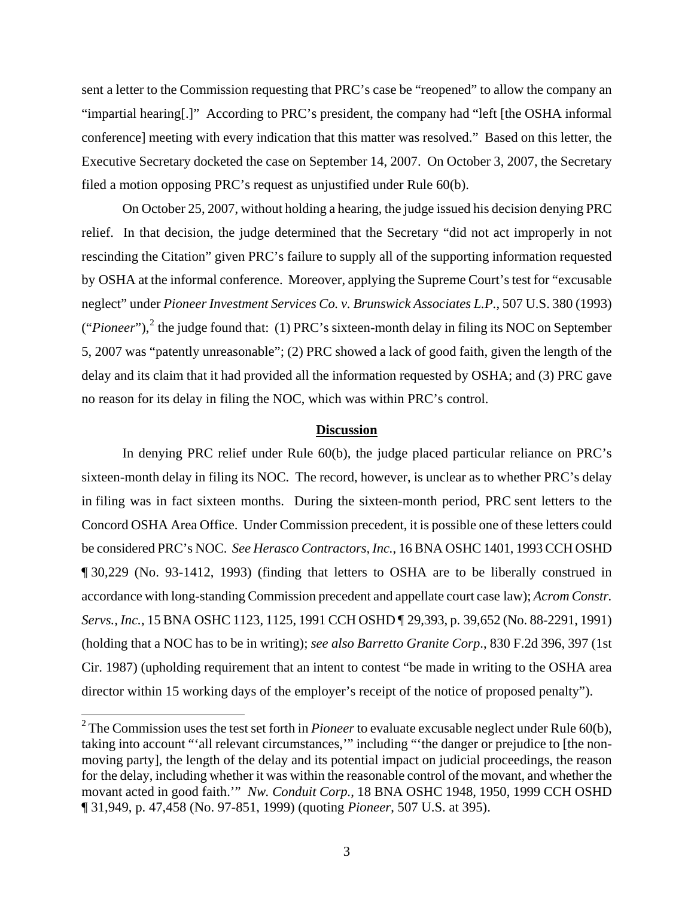sent a letter to the Commission requesting that PRC's case be "reopened" to allow the company an "impartial hearing[.]" According to PRC's president, the company had "left [the OSHA informal conference] meeting with every indication that this matter was resolved." Based on this letter, the Executive Secretary docketed the case on September 14, 2007. On October 3, 2007, the Secretary filed a motion opposing PRC's request as unjustified under Rule 60(b).

On October 25, 2007, without holding a hearing, the judge issued his decision denying PRC relief. In that decision, the judge determined that the Secretary "did not act improperly in not rescinding the Citation" given PRC's failure to supply all of the supporting information requested by OSHA at the informal conference. Moreover, applying the Supreme Court's test for "excusable neglect" under *Pioneer Investment Services Co. v. Brunswick Associates L.P.*, 507 U.S. 380 (1993)  $("Pioneer"),$ <sup>[2](#page-2-0)</sup> the judge found that: (1) PRC's sixteen-month delay in filing its NOC on September 5, 2007 was "patently unreasonable"; (2) PRC showed a lack of good faith, given the length of the delay and its claim that it had provided all the information requested by OSHA; and (3) PRC gave no reason for its delay in filing the NOC, which was within PRC's control.

#### **Discussion**

In denying PRC relief under Rule 60(b), the judge placed particular reliance on PRC's sixteen-month delay in filing its NOC. The record, however, is unclear as to whether PRC's delay in filing was in fact sixteen months. During the sixteen-month period, PRC sent letters to the Concord OSHA Area Office. Under Commission precedent, it is possible one of these letters could be considered PRC's NOC. *See Herasco Contractors, Inc.*, 16 BNA OSHC 1401, 1993 CCH OSHD ¶ 30,229 (No. 93-1412, 1993) (finding that letters to OSHA are to be liberally construed in accordance with long-standing Commission precedent and appellate court case law); *Acrom Constr. Servs., Inc.*, 15 BNA OSHC 1123, 1125, 1991 CCH OSHD ¶ 29,393, p. 39,652 (No. 88-2291, 1991) (holding that a NOC has to be in writing); *see also Barretto Granite Corp*., 830 F.2d 396, 397 (1st Cir. 1987) (upholding requirement that an intent to contest "be made in writing to the OSHA area director within 15 working days of the employer's receipt of the notice of proposed penalty").

 $\overline{a}$ 

<span id="page-2-0"></span><sup>&</sup>lt;sup>2</sup> The Commission uses the test set forth in *Pioneer* to evaluate excusable neglect under Rule 60(b), taking into account "'all relevant circumstances,'" including "'the danger or prejudice to [the nonmoving party], the length of the delay and its potential impact on judicial proceedings, the reason for the delay, including whether it was within the reasonable control of the movant, and whether the movant acted in good faith.'" *Nw. Conduit Corp.*, 18 BNA OSHC 1948, 1950, 1999 CCH OSHD ¶ 31,949, p. 47,458 (No. 97-851, 1999) (quoting *Pioneer*, 507 U.S. at 395).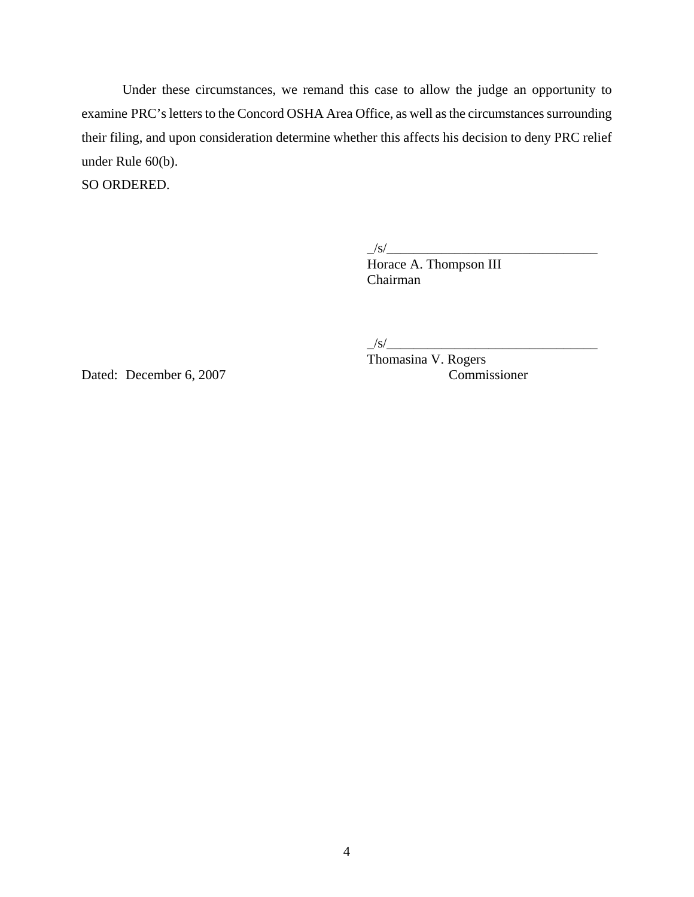Under these circumstances, we remand this case to allow the judge an opportunity to examine PRC's letters to the Concord OSHA Area Office, as well as the circumstances surrounding their filing, and upon consideration determine whether this affects his decision to deny PRC relief under Rule 60(b).

SO ORDERED.

 $\frac{1}{s}$ /s/ $\frac{1}{s}$ 

Horace A. Thompson III Chairman

 $\frac{1}{s}$ /s/ $\frac{1}{s}$ 

Dated: December 6, 2007 Commissioner

Thomasina V. Rogers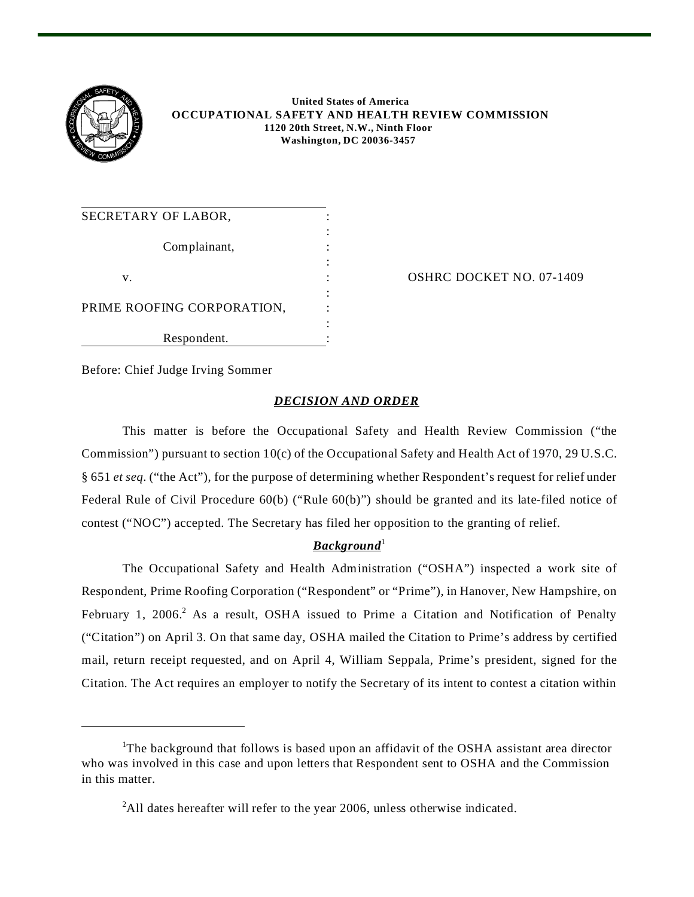

## **United States of America OCCUPATIONAL SAFETY AND HEALTH REVIEW COMMISSION 1120 20th Street, N.W., Ninth Floor Washington, DC 20036-3457**

| SECRETARY OF LABOR,        |  |
|----------------------------|--|
|                            |  |
| Complainant,               |  |
|                            |  |
| V.                         |  |
|                            |  |
| PRIME ROOFING CORPORATION, |  |
|                            |  |
| Respondent.                |  |

OSHRC DOCKET NO. 07-1409

Before: Chief Judge Irving Sommer

## *DECISION AND ORDER*

This matter is before the Occupational Safety and Health Review Commission ("the Commission") pursuant to section 10(c) of the Occupational Safety and Health Act of 1970, 29 U.S.C. § 651 *et seq*. ("the Act"), for the purpose of determining whether Respondent's request for relief under Federal Rule of Civil Procedure 60(b) ("Rule 60(b)") should be granted and its late-filed notice of contest ("NOC") accepted. The Secretary has filed her opposition to the granting of relief.

# $\boldsymbol{Background}^1$

The Occupational Safety and Health Administration ("OSHA") inspected a work site of Respondent, Prime Roofing Corporation ("Respondent" or "Prime"), in Hanover, New Hampshire, on February 1, 2006.<sup>2</sup> As a result, OSHA issued to Prime a Citation and Notification of Penalty ("Citation") on April 3. On that same day, OSHA mailed the Citation to Prime's address by certified mail, return receipt requested, and on April 4, William Seppala, Prime's president, signed for the Citation. The Act requires an employer to notify the Secretary of its intent to contest a citation within

<sup>&</sup>lt;sup>1</sup>The background that follows is based upon an affidavit of the OSHA assistant area director who was involved in this case and upon letters that Respondent sent to OSHA and the Commission in this matter.

<sup>&</sup>lt;sup>2</sup>All dates hereafter will refer to the year 2006, unless otherwise indicated.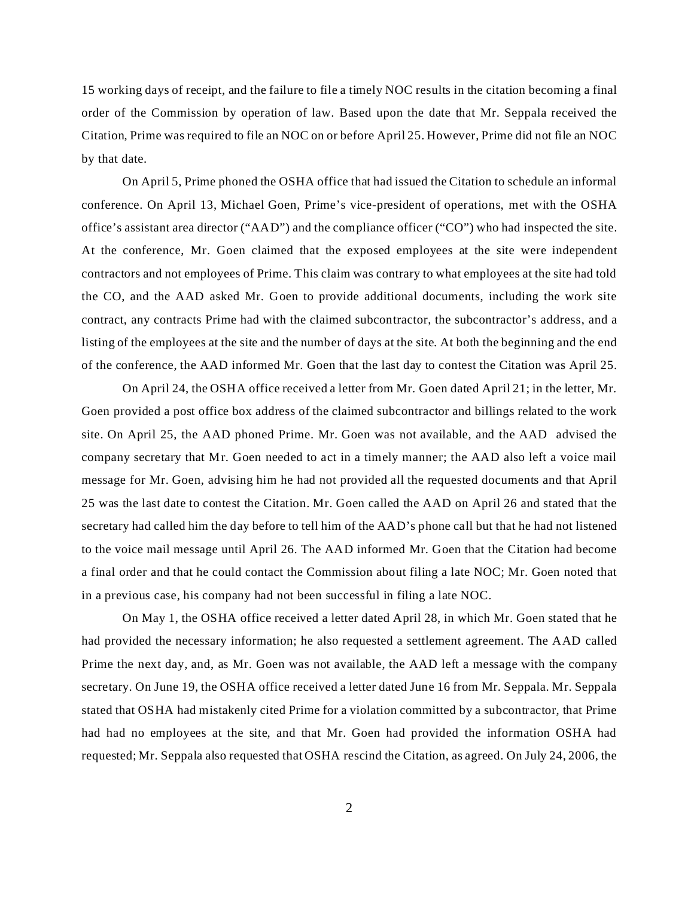15 working days of receipt, and the failure to file a timely NOC results in the citation becoming a final order of the Commission by operation of law. Based upon the date that Mr. Seppala received the Citation, Prime was required to file an NOC on or before April 25. However, Prime did not file an NOC by that date.

On April 5, Prime phoned the OSHA office that had issued the Citation to schedule an informal conference. On April 13, Michael Goen, Prime's vice-president of operations, met with the OSHA office's assistant area director ("AAD") and the compliance officer ("CO") who had inspected the site. At the conference, Mr. Goen claimed that the exposed employees at the site were independent contractors and not employees of Prime. This claim was contrary to what employees at the site had told the CO, and the AAD asked Mr. Goen to provide additional documents, including the work site contract, any contracts Prime had with the claimed subcontractor, the subcontractor's address, and a listing of the employees at the site and the number of days at the site. At both the beginning and the end of the conference, the AAD informed Mr. Goen that the last day to contest the Citation was April 25.

On April 24, the OSHA office received a letter from Mr. Goen dated April 21; in the letter, Mr. Goen provided a post office box address of the claimed subcontractor and billings related to the work site. On April 25, the AAD phoned Prime. Mr. Goen was not available, and the AAD advised the company secretary that Mr. Goen needed to act in a timely manner; the AAD also left a voice mail message for Mr. Goen, advising him he had not provided all the requested documents and that April 25 was the last date to contest the Citation. Mr. Goen called the AAD on April 26 and stated that the secretary had called him the day before to tell him of the AAD's phone call but that he had not listened to the voice mail message until April 26. The AAD informed Mr. Goen that the Citation had become a final order and that he could contact the Commission about filing a late NOC; Mr. Goen noted that in a previous case, his company had not been successful in filing a late NOC.

On May 1, the OSHA office received a letter dated April 28, in which Mr. Goen stated that he had provided the necessary information; he also requested a settlement agreement. The AAD called Prime the next day, and, as Mr. Goen was not available, the AAD left a message with the company secretary. On June 19, the OSHA office received a letter dated June 16 from Mr. Seppala. Mr. Seppala stated that OSHA had mistakenly cited Prime for a violation committed by a subcontractor, that Prime had had no employees at the site, and that Mr. Goen had provided the information OSHA had requested; Mr. Seppala also requested that OSHA rescind the Citation, as agreed. On July 24, 2006, the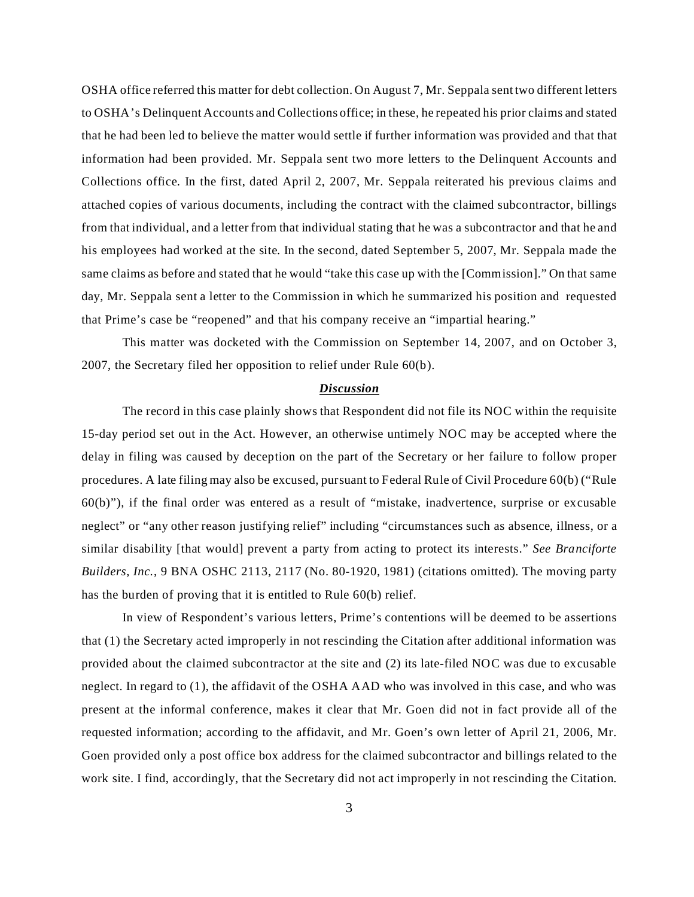OSHA office referred this matter for debt collection. On August 7, Mr. Seppala sent two different letters to OSHA's Delinquent Accounts and Collections office; in these, he repeated his prior claims and stated that he had been led to believe the matter would settle if further information was provided and that that information had been provided. Mr. Seppala sent two more letters to the Delinquent Accounts and Collections office. In the first, dated April 2, 2007, Mr. Seppala reiterated his previous claims and attached copies of various documents, including the contract with the claimed subcontractor, billings from that individual, and a letter from that individual stating that he was a subcontractor and that he and his employees had worked at the site. In the second, dated September 5, 2007, Mr. Seppala made the same claims as before and stated that he would "take this case up with the [Commission]." On that same day, Mr. Seppala sent a letter to the Commission in which he summarized his position and requested that Prime's case be "reopened" and that his company receive an "impartial hearing."

This matter was docketed with the Commission on September 14, 2007, and on October 3, 2007, the Secretary filed her opposition to relief under Rule 60(b).

#### *Discussion*

The record in this case plainly shows that Respondent did not file its NOC within the requisite 15-day period set out in the Act. However, an otherwise untimely NOC may be accepted where the delay in filing was caused by deception on the part of the Secretary or her failure to follow proper procedures. A late filing may also be excused, pursuant to Federal Rule of Civil Procedure 60(b) ("Rule  $60(b)$ "), if the final order was entered as a result of "mistake, inadvertence, surprise or excusable neglect" or "any other reason justifying relief" including "circumstances such as absence, illness, or a similar disability [that would] prevent a party from acting to protect its interests." *See Branciforte Builders, Inc.*, 9 BNA OSHC 2113, 2117 (No. 80-1920, 1981) (citations omitted). The moving party has the burden of proving that it is entitled to Rule 60(b) relief.

In view of Respondent's various letters, Prime's contentions will be deemed to be assertions that (1) the Secretary acted improperly in not rescinding the Citation after additional information was provided about the claimed subcontractor at the site and (2) its late-filed NOC was due to excusable neglect. In regard to (1), the affidavit of the OSHA AAD who was involved in this case, and who was present at the informal conference, makes it clear that Mr. Goen did not in fact provide all of the requested information; according to the affidavit, and Mr. Goen's own letter of April 21, 2006, Mr. Goen provided only a post office box address for the claimed subcontractor and billings related to the work site. I find, accordingly, that the Secretary did not act improperly in not rescinding the Citation.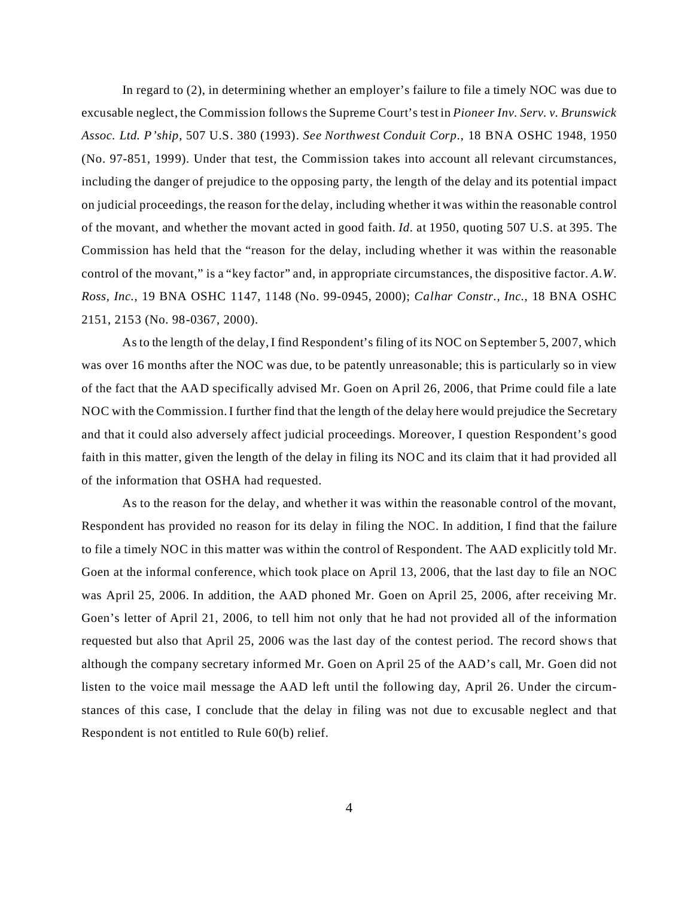In regard to (2), in determining whether an employer's failure to file a timely NOC was due to excusable neglect, the Commission follows the Supreme Court's test in *Pioneer Inv. Serv. v. Brunswick Assoc. Ltd. P'ship*, 507 U.S. 380 (1993). *See Northwest Conduit Corp.*, 18 BNA OSHC 1948, 1950 (No. 97-851, 1999). Under that test, the Commission takes into account all relevant circumstances, including the danger of prejudice to the opposing party, the length of the delay and its potential impact on judicial proceedings, the reason for the delay, including whether it was within the reasonable control of the movant, and whether the movant acted in good faith. *Id*. at 1950, quoting 507 U.S. at 395. The Commission has held that the "reason for the delay, including whether it was within the reasonable control of the movant," is a "key factor" and, in appropriate circumstances, the dispositive factor. *A.W. Ross, Inc.*, 19 BNA OSHC 1147, 1148 (No. 99-0945, 2000); *Calhar Constr., Inc.*, 18 BNA OSHC 2151, 2153 (No. 98-0367, 2000).

As to the length of the delay, I find Respondent's filing of its NOC on September 5, 2007, which was over 16 months after the NOC was due, to be patently unreasonable; this is particularly so in view of the fact that the AAD specifically advised Mr. Goen on April 26, 2006, that Prime could file a late NOC with the Commission. I further find that the length of the delay here would prejudice the Secretary and that it could also adversely affect judicial proceedings. Moreover, I question Respondent's good faith in this matter, given the length of the delay in filing its NOC and its claim that it had provided all of the information that OSHA had requested.

As to the reason for the delay, and whether it was within the reasonable control of the movant, Respondent has provided no reason for its delay in filing the NOC. In addition, I find that the failure to file a timely NOC in this matter was within the control of Respondent. The AAD explicitly told Mr. Goen at the informal conference, which took place on April 13, 2006, that the last day to file an NOC was April 25, 2006. In addition, the AAD phoned Mr. Goen on April 25, 2006, after receiving Mr. Goen's letter of April 21, 2006, to tell him not only that he had not provided all of the information requested but also that April 25, 2006 was the last day of the contest period. The record shows that although the company secretary informed Mr. Goen on April 25 of the AAD's call, Mr. Goen did not listen to the voice mail message the AAD left until the following day, April 26. Under the circumstances of this case, I conclude that the delay in filing was not due to excusable neglect and that Respondent is not entitled to Rule 60(b) relief.